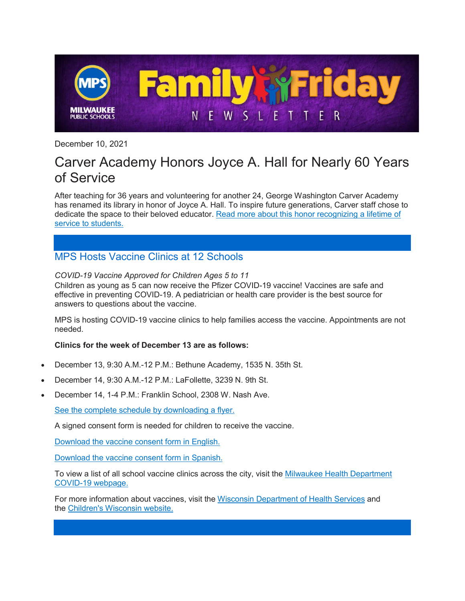

December 10, 2021

# Carver Academy Honors Joyce A. Hall for Nearly 60 Years of Service

After teaching for 36 years and volunteering for another 24, George Washington Carver Academy has renamed its library in honor of Joyce A. Hall. To inspire future generations, Carver staff chose to dedicate the space to their beloved educator. [Read more about this honor recognizing a lifetime of](https://wkst.milwaukee.k12.wi.us/ContentMgmt/Preview.aspx?DocID=92464)  [service to students.](https://wkst.milwaukee.k12.wi.us/ContentMgmt/Preview.aspx?DocID=92464)

## MPS Hosts Vaccine Clinics at 12 Schools

*COVID-19 Vaccine Approved for Children Ages 5 to 11* Children as young as 5 can now receive the Pfizer COVID-19 vaccine! Vaccines are safe and effective in preventing COVID-19. A pediatrician or health care provider is the best source for answers to questions about the vaccine.

MPS is hosting COVID-19 vaccine clinics to help families access the vaccine. Appointments are not needed.

#### **Clinics for the week of December 13 are as follows:**

- December 13, 9:30 A.M.-12 P.M.: Bethune Academy, 1535 N. 35th St.
- December 14, 9:30 A.M.-12 P.M.: LaFollette, 3239 N. 9th St.
- December 14, 1-4 P.M.: Franklin School, 2308 W. Nash Ave.

[See the complete schedule by downloading a flyer.](https://wkst.milwaukee.k12.wi.us/ContentMgmt/Preview.aspx?DocID=92464)

A signed consent form is needed for children to receive the vaccine.

[Download the vaccine consent form in English.](https://wkst.milwaukee.k12.wi.us/ContentMgmt/Preview.aspx?DocID=92464)

[Download the vaccine consent form in Spanish.](https://wkst.milwaukee.k12.wi.us/ContentMgmt/Preview.aspx?DocID=92464)

To view a list of all school vaccine clinics across the city, visit the [Milwaukee Health Department](https://wkst.milwaukee.k12.wi.us/ContentMgmt/Preview.aspx?DocID=92464)  [COVID-19 webpage.](https://wkst.milwaukee.k12.wi.us/ContentMgmt/Preview.aspx?DocID=92464)

For more information about vaccines, visit the [Wisconsin Department of Health Services](https://wkst.milwaukee.k12.wi.us/ContentMgmt/Preview.aspx?DocID=92464) and the [Children's Wisconsin website.](https://wkst.milwaukee.k12.wi.us/ContentMgmt/Preview.aspx?DocID=92464)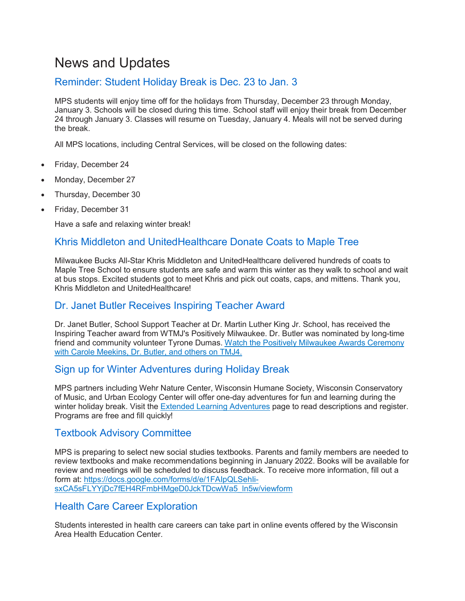# News and Updates

## Reminder: Student Holiday Break is Dec. 23 to Jan. 3

MPS students will enjoy time off for the holidays from Thursday, December 23 through Monday, January 3. Schools will be closed during this time. School staff will enjoy their break from December 24 through January 3. Classes will resume on Tuesday, January 4. Meals will not be served during the break.

All MPS locations, including Central Services, will be closed on the following dates:

- Friday, December 24
- Monday, December 27
- Thursday, December 30
- Friday, December 31

Have a safe and relaxing winter break!

### Khris Middleton and UnitedHealthcare Donate Coats to Maple Tree

Milwaukee Bucks All-Star Khris Middleton and UnitedHealthcare delivered hundreds of coats to Maple Tree School to ensure students are safe and warm this winter as they walk to school and wait at bus stops. Excited students got to meet Khris and pick out coats, caps, and mittens. Thank you, Khris Middleton and UnitedHealthcare!

### Dr. Janet Butler Receives Inspiring Teacher Award

Dr. Janet Butler, School Support Teacher at Dr. Martin Luther King Jr. School, has received the Inspiring Teacher award from WTMJ's Positively Milwaukee. Dr. Butler was nominated by long-time friend and community volunteer Tyrone Dumas. [Watch the Positively Milwaukee Awards Ceremony](https://wkst.milwaukee.k12.wi.us/ContentMgmt/Preview.aspx?DocID=92464)  [with Carole Meekins, Dr. Butler, and others on TMJ4.](https://wkst.milwaukee.k12.wi.us/ContentMgmt/Preview.aspx?DocID=92464)

### Sign up for Winter Adventures during Holiday Break

MPS partners including Wehr Nature Center, Wisconsin Humane Society, Wisconsin Conservatory of Music, and Urban Ecology Center will offer one-day adventures for fun and learning during the winter holiday break. Visit the [Extended Learning Adventures](https://wkst.milwaukee.k12.wi.us/ContentMgmt/Preview.aspx?DocID=92464) page to read descriptions and register. Programs are free and fill quickly!

### Textbook Advisory Committee

MPS is preparing to select new social studies textbooks. Parents and family members are needed to review textbooks and make recommendations beginning in January 2022. Books will be available for review and meetings will be scheduled to discuss feedback. To receive more information, fill out a form at: [https://docs.google.com/forms/d/e/1FAIpQLSehIi](https://wkst.milwaukee.k12.wi.us/ContentMgmt/Preview.aspx?DocID=92464)[sxCA5sFLYYjDc7fEH4RFmbHMgeD0JckTDcwWa5\\_ln5w/viewform](https://wkst.milwaukee.k12.wi.us/ContentMgmt/Preview.aspx?DocID=92464)

### Health Care Career Exploration

Students interested in health care careers can take part in online events offered by the Wisconsin Area Health Education Center.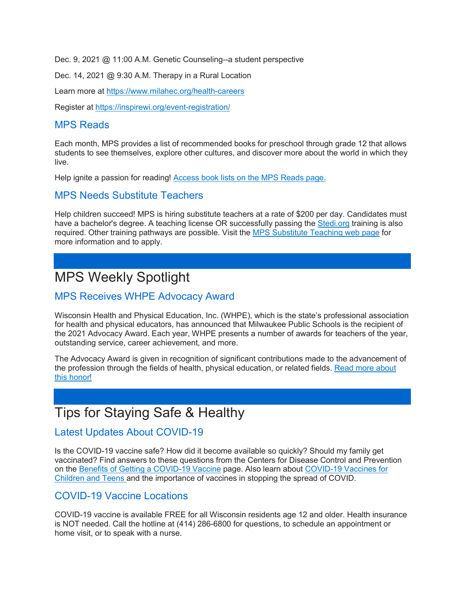Dec. 9, 2021 @ 11:00 A.M. Genetic Counseling--a student perspective

Dec. 14, 2021 @ 9:30 A.M. Therapy in a Rural Location

Learn more at [https://www.milahec.org/health-careers](https://wkst.milwaukee.k12.wi.us/ContentMgmt/Preview.aspx?DocID=92464)

Register at [https://inspirewi.org/event-registration/](https://wkst.milwaukee.k12.wi.us/ContentMgmt/Preview.aspx?DocID=92464)

#### MPS Reads

Each month, MPS provides a list of recommended books for preschool through grade 12 that allows students to see themselves, explore other cultures, and discover more about the world in which they live.

Help ignite a passion for reading! [Access book lists on the MPS Reads page.](https://wkst.milwaukee.k12.wi.us/ContentMgmt/Preview.aspx?DocID=92464)

#### MPS Needs Substitute Teachers

Help children succeed! MPS is hiring substitute teachers at a rate of \$200 per day. Candidates must have a bachelor's degree. A teaching license OR successfully passing the [Stedi.org](https://wkst.milwaukee.k12.wi.us/ContentMgmt/Preview.aspx?DocID=92464) training is also required. Other training pathways are possible. Visit the [MPS Substitute Teaching web page](https://wkst.milwaukee.k12.wi.us/ContentMgmt/Preview.aspx?DocID=92464) for more information and to apply.

# MPS Weekly Spotlight

#### MPS Receives WHPE Advocacy Award

Wisconsin Health and Physical Education, Inc. (WHPE), which is the state's professional association for health and physical educators, has announced that Milwaukee Public Schools is the recipient of the 2021 Advocacy Award. Each year, WHPE presents a number of awards for teachers of the year, outstanding service, career achievement, and more.

The Advocacy Award is given in recognition of significant contributions made to the advancement of the profession through the fields of health, physical education, or related fields. [Read more about](https://wkst.milwaukee.k12.wi.us/ContentMgmt/Preview.aspx?DocID=92464)  [this honor!](https://wkst.milwaukee.k12.wi.us/ContentMgmt/Preview.aspx?DocID=92464)

## Tips for Staying Safe & Healthy

#### Latest Updates About COVID-19

Is the COVID-19 vaccine safe? How did it become available so quickly? Should my family get vaccinated? Find answers to these questions from the Centers for Disease Control and Prevention on the [Benefits of Getting a COVID-19 Vaccine](https://wkst.milwaukee.k12.wi.us/ContentMgmt/Preview.aspx?DocID=92464) page. Also learn about [COVID-19 Vaccines for](https://wkst.milwaukee.k12.wi.us/ContentMgmt/Preview.aspx?DocID=92464)  [Children and Teens](https://wkst.milwaukee.k12.wi.us/ContentMgmt/Preview.aspx?DocID=92464) and the importance of vaccines in stopping the spread of COVID.

### COVID-19 Vaccine Locations

COVID-19 vaccine is available FREE for all Wisconsin residents age 12 and older. Health insurance is NOT needed. Call the hotline at (414) 286-6800 for questions, to schedule an appointment or home visit, or to speak with a nurse.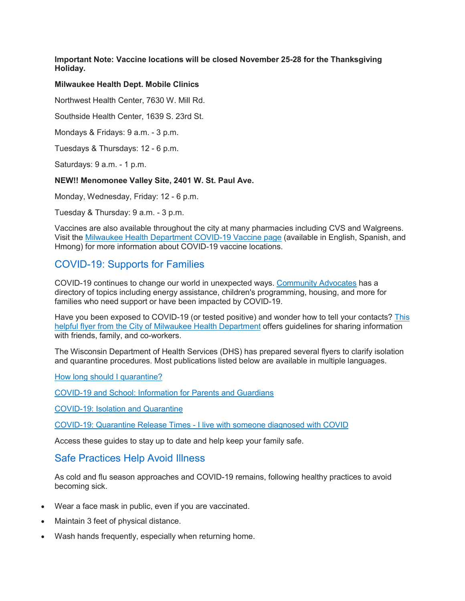**Important Note: Vaccine locations will be closed November 25-28 for the Thanksgiving Holiday.**

#### **Milwaukee Health Dept. Mobile Clinics**

Northwest Health Center, 7630 W. Mill Rd.

Southside Health Center, 1639 S. 23rd St.

Mondays & Fridays: 9 a.m. - 3 p.m.

Tuesdays & Thursdays: 12 - 6 p.m.

Saturdays: 9 a.m. - 1 p.m.

#### **NEW!! Menomonee Valley Site, 2401 W. St. Paul Ave.**

Monday, Wednesday, Friday: 12 - 6 p.m.

Tuesday & Thursday: 9 a.m. - 3 p.m.

Vaccines are also available throughout the city at many pharmacies including CVS and Walgreens. Visit the [Milwaukee Health Department COVID-19 Vaccine page](https://wkst.milwaukee.k12.wi.us/ContentMgmt/Preview.aspx?DocID=92464) (available in English, Spanish, and Hmong) for more information about COVID-19 vaccine locations.

### COVID-19: Supports for Families

COVID-19 continues to change our world in unexpected ways. [Community Advocates](https://wkst.milwaukee.k12.wi.us/ContentMgmt/Preview.aspx?DocID=92464) has a directory of topics including energy assistance, children's programming, housing, and more for families who need support or have been impacted by COVID-19.

Have you been exposed to COVID-19 (or tested positive) and wonder how to tell your contacts? This [helpful flyer from the City of Milwaukee Health Department](https://wkst.milwaukee.k12.wi.us/ContentMgmt/Preview.aspx?DocID=92464) offers guidelines for sharing information with friends, family, and co-workers.

The Wisconsin Department of Health Services (DHS) has prepared several flyers to clarify isolation and quarantine procedures. Most publications listed below are available in multiple languages.

[How long should I quarantine?](https://wkst.milwaukee.k12.wi.us/ContentMgmt/Preview.aspx?DocID=92464)

[COVID-19 and School: Information for Parents and Guardians](https://wkst.milwaukee.k12.wi.us/ContentMgmt/Preview.aspx?DocID=92464)

[COVID-19: Isolation and Quarantine](https://wkst.milwaukee.k12.wi.us/ContentMgmt/Preview.aspx?DocID=92464)

COVID-19: Quarantine Release Times - [I live with someone diagnosed with COVID](https://wkst.milwaukee.k12.wi.us/ContentMgmt/Preview.aspx?DocID=92464)

Access these guides to stay up to date and help keep your family safe.

### Safe Practices Help Avoid Illness

As cold and flu season approaches and COVID-19 remains, following healthy practices to avoid becoming sick.

- Wear a face mask in public, even if you are vaccinated.
- Maintain 3 feet of physical distance.
- Wash hands frequently, especially when returning home.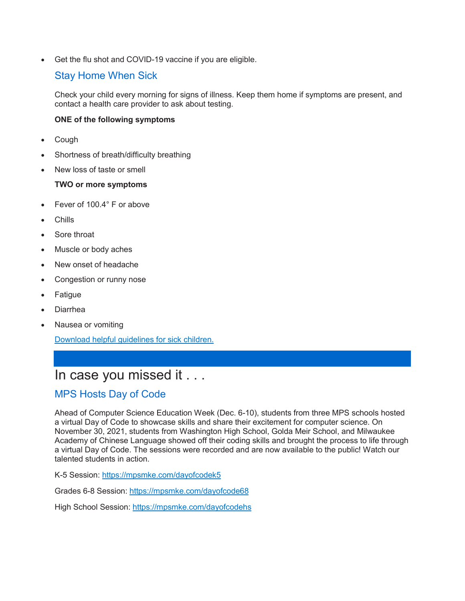• Get the flu shot and COVID-19 vaccine if you are eligible.

### Stay Home When Sick

Check your child every morning for signs of illness. Keep them home if symptoms are present, and contact a health care provider to ask about testing.

#### **ONE of the following symptoms**

- **Cough**
- Shortness of breath/difficulty breathing
- New loss of taste or smell

#### **TWO or more symptoms**

- Fever of 100.4° F or above
- Chills
- Sore throat
- Muscle or body aches
- New onset of headache
- Congestion or runny nose
- **Fatigue**
- Diarrhea
- Nausea or vomiting

[Download helpful guidelines for sick children.](https://wkst.milwaukee.k12.wi.us/ContentMgmt/Preview.aspx?DocID=92464)

## In case you missed it . . .

## MPS Hosts Day of Code

Ahead of Computer Science Education Week (Dec. 6-10), students from three MPS schools hosted a virtual Day of Code to showcase skills and share their excitement for computer science. On November 30, 2021, students from Washington High School, Golda Meir School, and Milwaukee Academy of Chinese Language showed off their coding skills and brought the process to life through a virtual Day of Code. The sessions were recorded and are now available to the public! Watch our talented students in action.

K-5 Session: [https://mpsmke.com/dayofcodek5](https://wkst.milwaukee.k12.wi.us/ContentMgmt/Preview.aspx?DocID=92464)

Grades 6-8 Session: [https://mpsmke.com/dayofcode68](https://wkst.milwaukee.k12.wi.us/ContentMgmt/Preview.aspx?DocID=92464)

High School Session: [https://mpsmke.com/dayofcodehs](https://wkst.milwaukee.k12.wi.us/ContentMgmt/Preview.aspx?DocID=92464)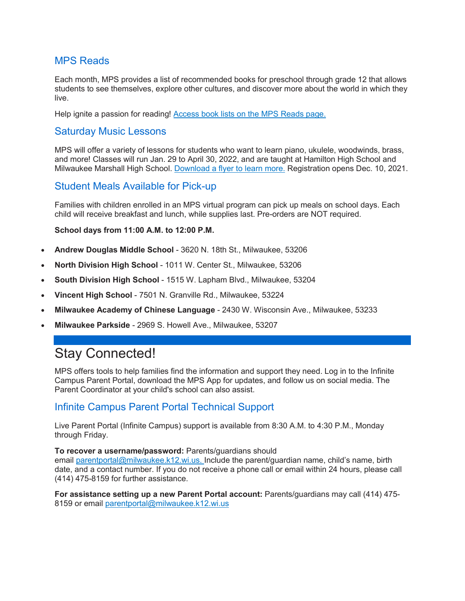### MPS Reads

Each month, MPS provides a list of recommended books for preschool through grade 12 that allows students to see themselves, explore other cultures, and discover more about the world in which they live.

Help ignite a passion for reading! [Access book lists on the MPS Reads page.](https://wkst.milwaukee.k12.wi.us/ContentMgmt/Preview.aspx?DocID=92464)

#### Saturday Music Lessons

MPS will offer a variety of lessons for students who want to learn piano, ukulele, woodwinds, brass, and more! Classes will run Jan. 29 to April 30, 2022, and are taught at Hamilton High School and Milwaukee Marshall High School. [Download a flyer to learn more.](https://wkst.milwaukee.k12.wi.us/ContentMgmt/Preview.aspx?DocID=92464) Registration opens Dec. 10, 2021.

#### Student Meals Available for Pick-up

Families with children enrolled in an MPS virtual program can pick up meals on school days. Each child will receive breakfast and lunch, while supplies last. Pre-orders are NOT required.

#### **School days from 11:00 A.M. to 12:00 P.M.**

- **Andrew Douglas Middle School** 3620 N. 18th St., Milwaukee, 53206
- **North Division High School** 1011 W. Center St., Milwaukee, 53206
- **South Division High School** 1515 W. Lapham Blvd., Milwaukee, 53204
- **Vincent High School** 7501 N. Granville Rd., Milwaukee, 53224
- **Milwaukee Academy of Chinese Language** 2430 W. Wisconsin Ave., Milwaukee, 53233
- **Milwaukee Parkside** 2969 S. Howell Ave., Milwaukee, 53207

# Stay Connected!

MPS offers tools to help families find the information and support they need. Log in to the Infinite Campus Parent Portal, download the MPS App for updates, and follow us on social media. The Parent Coordinator at your child's school can also assist.

### Infinite Campus Parent Portal Technical Support

Live Parent Portal (Infinite Campus) support is available from 8:30 A.M. to 4:30 P.M., Monday through Friday.

**To recover a username/password:** Parents/guardians should email [parentportal@milwaukee.k12.wi.us.](https://wkst.milwaukee.k12.wi.us/ContentMgmt/Preview.aspx?DocID=92464) Include the parent/guardian name, child's name, birth date, and a contact number. If you do not receive a phone call or email within 24 hours, please call (414) 475-8159 for further assistance.

**For assistance setting up a new Parent Portal account:** Parents/guardians may call (414) 475 8159 or email [parentportal@milwaukee.k12.wi.us](https://wkst.milwaukee.k12.wi.us/ContentMgmt/Preview.aspx?DocID=92464)